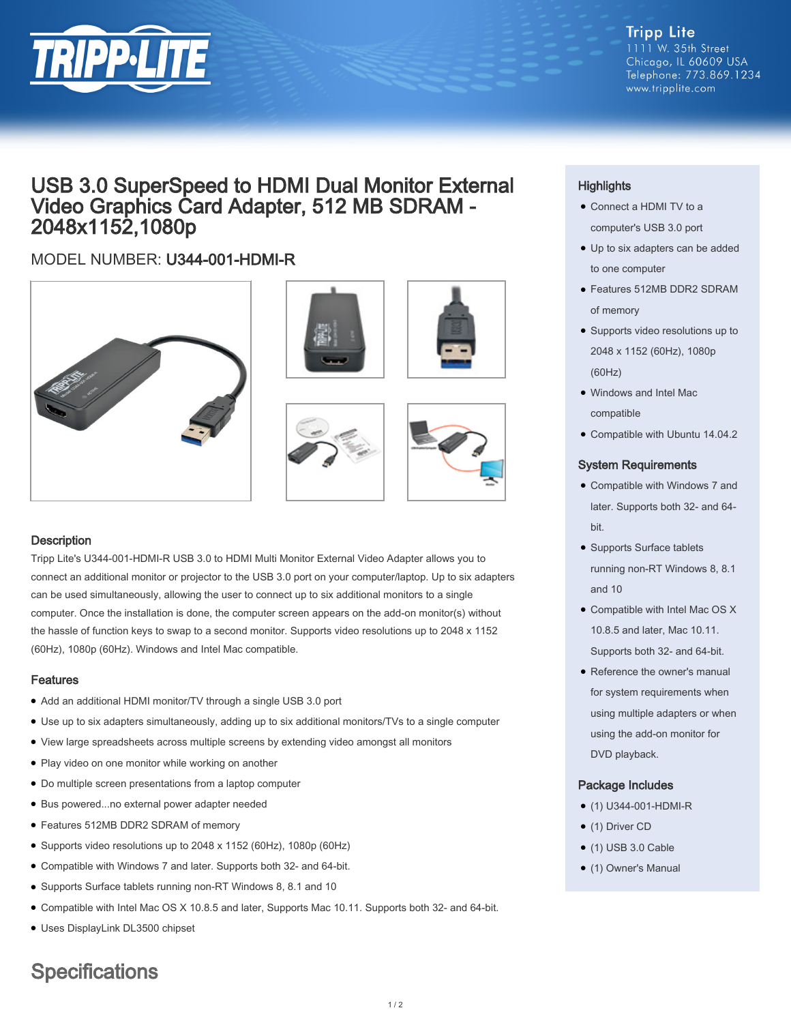

#### **Tripp Lite** 1111 W. 35th Street Chicago, IL 60609 USA Telephone: 773.869.1234 www.tripplite.com

## USB 3.0 SuperSpeed to HDMI Dual Monitor External Video Graphics Card Adapter, 512 MB SDRAM - 2048x1152,1080p

## MODEL NUMBER: U344-001-HDMI-R









### **Description**

Tripp Lite's U344-001-HDMI-R USB 3.0 to HDMI Multi Monitor External Video Adapter allows you to connect an additional monitor or projector to the USB 3.0 port on your computer/laptop. Up to six adapters can be used simultaneously, allowing the user to connect up to six additional monitors to a single computer. Once the installation is done, the computer screen appears on the add-on monitor(s) without the hassle of function keys to swap to a second monitor. Supports video resolutions up to 2048 x 1152 (60Hz), 1080p (60Hz). Windows and Intel Mac compatible.

#### Features

- Add an additional HDMI monitor/TV through a single USB 3.0 port
- Use up to six adapters simultaneously, adding up to six additional monitors/TVs to a single computer
- View large spreadsheets across multiple screens by extending video amongst all monitors
- Play video on one monitor while working on another
- Do multiple screen presentations from a laptop computer
- Bus powered...no external power adapter needed
- Features 512MB DDR2 SDRAM of memory
- Supports video resolutions up to 2048 x 1152 (60Hz), 1080p (60Hz)
- Compatible with Windows 7 and later. Supports both 32- and 64-bit.
- Supports Surface tablets running non-RT Windows 8, 8.1 and 10
- Compatible with Intel Mac OS X 10.8.5 and later, Supports Mac 10.11. Supports both 32- and 64-bit.
- Uses DisplayLink DL3500 chipset

# **Specifications**

## **Highlights**

- Connect a HDMI TV to a computer's USB 3.0 port
- Up to six adapters can be added to one computer
- Features 512MB DDR2 SDRAM of memory
- Supports video resolutions up to 2048 x 1152 (60Hz), 1080p (60Hz)
- Windows and Intel Mac compatible
- Compatible with Ubuntu 14.04.2

#### System Requirements

- Compatible with Windows 7 and later. Supports both 32- and 64 bit.
- Supports Surface tablets running non-RT Windows 8, 8.1 and 10
- Compatible with Intel Mac OS X 10.8.5 and later, Mac 10.11. Supports both 32- and 64-bit.
- Reference the owner's manual for system requirements when using multiple adapters or when using the add-on monitor for DVD playback.

#### Package Includes

- (1) U344-001-HDMI-R
- (1) Driver CD
- $\bullet$  (1) USB 3.0 Cable
- (1) Owner's Manual